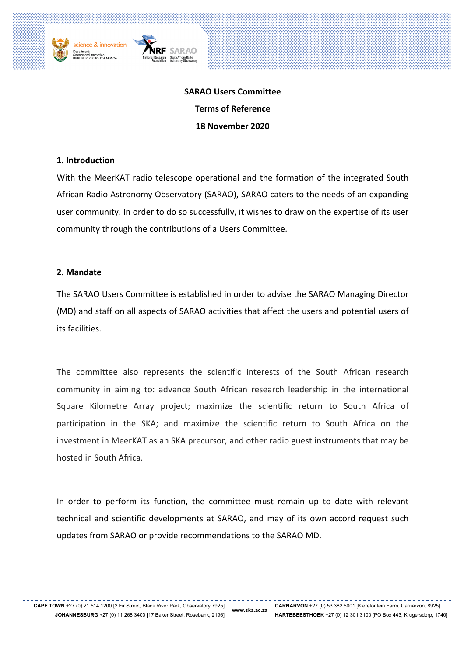

**SARAO Users Committee Terms of Reference 18 November 2020**

1 June 2020

#### **1. Introduction**

With the MeerKAT radio telescope operational and the formation of the integrated South African Radio Astronomy Observatory (SARAO), SARAO caters to the needs of an expanding user community. In order to do so successfully, it wishes to draw on the expertise of its user community through the contributions of a Users Committee.

### **2. Mandate**

The SARAO Users Committee is established in order to advise the SARAO Managing Director (MD) and staff on all aspects of SARAO activities that affect the users and potential users of its facilities.

The committee also represents the scientific interests of the South African research community in aiming to: advance South African research leadership in the international Square Kilometre Array project; maximize the scientific return to South Africa of participation in the SKA; and maximize the scientific return to South Africa on the investment in MeerKAT as an SKA precursor, and other radio guest instruments that may be hosted in South Africa.

In order to perform its function, the committee must remain up to date with relevant technical and scientific developments at SARAO, and may of its own accord request such updates from SARAO or provide recommendations to the SARAO MD.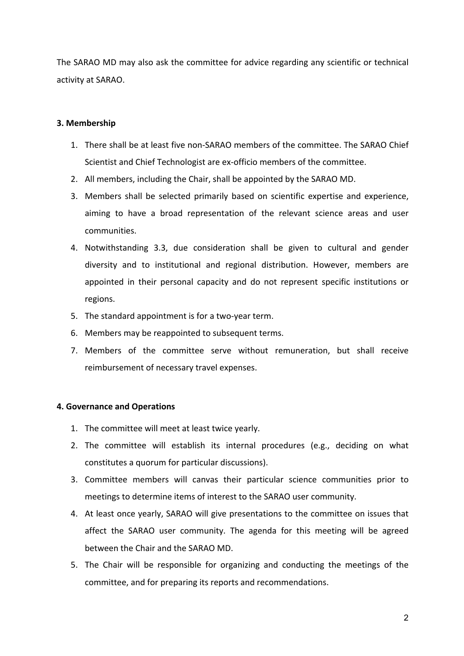The SARAO MD may also ask the committee for advice regarding any scientific or technical activity at SARAO.

## **3. Membership**

- 1. There shall be at least five non-SARAO members of the committee. The SARAO Chief Scientist and Chief Technologist are ex-officio members of the committee.
- 2. All members, including the Chair, shall be appointed by the SARAO MD.
- 3. Members shall be selected primarily based on scientific expertise and experience, aiming to have a broad representation of the relevant science areas and user communities.
- 4. Notwithstanding 3.3, due consideration shall be given to cultural and gender diversity and to institutional and regional distribution. However, members are appointed in their personal capacity and do not represent specific institutions or regions.
- 5. The standard appointment is for a two-year term.
- 6. Members may be reappointed to subsequent terms.
- 7. Members of the committee serve without remuneration, but shall receive reimbursement of necessary travel expenses.

#### **4. Governance and Operations**

- 1. The committee will meet at least twice yearly.
- 2. The committee will establish its internal procedures (e.g., deciding on what constitutes a quorum for particular discussions).
- 3. Committee members will canvas their particular science communities prior to meetings to determine items of interest to the SARAO user community.
- 4. At least once yearly, SARAO will give presentations to the committee on issues that affect the SARAO user community. The agenda for this meeting will be agreed between the Chair and the SARAO MD.
- 5. The Chair will be responsible for organizing and conducting the meetings of the committee, and for preparing its reports and recommendations.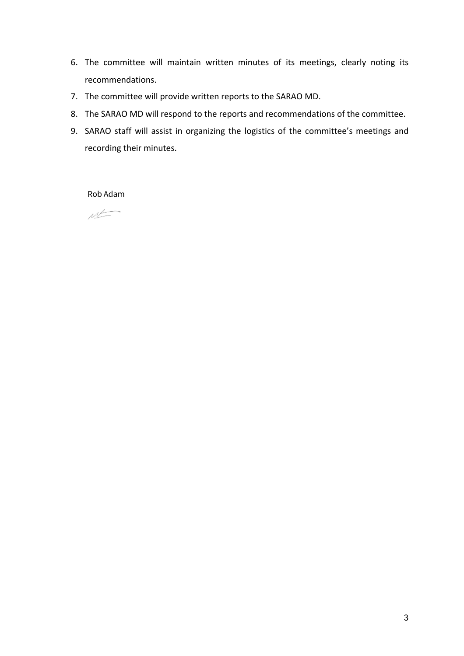- 6. The committee will maintain written minutes of its meetings, clearly noting its recommendations.
- 7. The committee will provide written reports to the SARAO MD.
- 8. The SARAO MD will respond to the reports and recommendations of the committee.
- 9. SARAO staff will assist in organizing the logistics of the committee's meetings and recording their minutes.

Rob Adam

nt